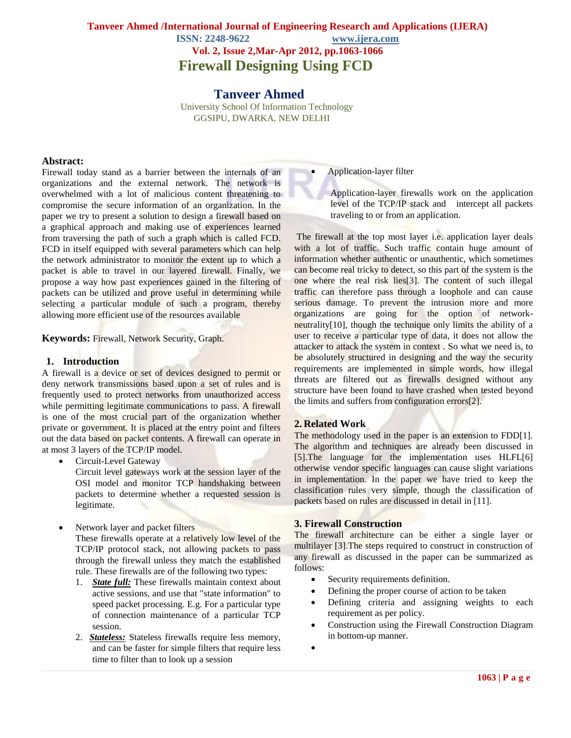# **Tanveer Ahmed /International Journal of Engineering Research and Applications (IJERA) ISSN: 2248-9622 www.ijera.com Vol. 2, Issue 2,Mar-Apr 2012, pp.1063-1066 Firewall Designing Using FCD**

 **Tanveer Ahmed** University School Of Information Technology GGSIPU, DWARKA, NEW DELHI

#### **Abstract:**

Firewall today stand as a barrier between the internals of an organizations and the external network. The network is overwhelmed with a lot of malicious content threatening to compromise the secure information of an organization. In the paper we try to present a solution to design a firewall based on a graphical approach and making use of experiences learned from traversing the path of such a graph which is called FCD. FCD in itself equipped with several parameters which can help the network administrator to monitor the extent up to which a packet is able to travel in our layered firewall. Finally, we propose a way how past experiences gained in the filtering of packets can be utilized and prove useful in determining while selecting a particular module of such a program, thereby allowing more efficient use of the resources available

**Keywords:** Firewall, Network Security, Graph.

#### **1. Introduction**

A firewall is a device or set of devices designed to permit or deny network transmissions based upon a set of rules and is frequently used to protect networks from unauthorized access while permitting legitimate communications to pass. A firewall is one of the most crucial part of the organization whether private or government. It is placed at the entry point and filters out the data based on packet contents. A firewall can operate in at most 3 layers of the TCP/IP model.

- Circuit-Level Gateway Circuit level gateways work at the session layer of the OSI model and monitor TCP handshaking between packets to determine whether a requested session is legitimate.
- Network layer and packet filters These firewalls operate at a relatively low level of the TCP/IP protocol stack, not allowing packets to pass through the firewall unless they match the established rule. These firewalls are of the following two types:
	- 1. *State full:* These firewalls maintain context about active sessions, and use that "state information" to speed packet processing. E.g. For a particular type of connection maintenance of a particular TCP session.
	- 2. *Stateless:* Stateless firewalls require less memory, and can be faster for simple filters that require less time to filter than to look up a session

#### Application-layer filter

Application-layer firewalls work on the application level of the TCP/IP stack and intercept all packets traveling to or from an application.

The firewall at the top most layer i.e. application layer deals with a lot of traffic. Such traffic contain huge amount of information whether authentic or unauthentic, which sometimes can become real tricky to detect, so this part of the system is the one where the real risk lies[3]. The content of such illegal traffic can therefore pass through a loophole and can cause serious damage. To prevent the intrusion more and more organizations are going for the option of networkneutrality[10], though the technique only limits the ability of a user to receive a particular type of data, it does not allow the attacker to attack the system in context . So what we need is, to be absolutely structured in designing and the way the security requirements are implemented in simple words, how illegal threats are filtered out as firewalls designed without any structure have been found to have crashed when tested beyond the limits and suffers from configuration errors[2].

#### **2. Related Work**

The methodology used in the paper is an extension to FDD[1]. The algorithm and techniques are already been discussed in [5].The language for the implementation uses HLFL[6] otherwise vendor specific languages can cause slight variations in implementation. In the paper we have tried to keep the classification rules very simple, though the classification of packets based on rules are discussed in detail in [11].

#### **3. Firewall Construction**

The firewall architecture can be either a single layer or multilayer [3].The steps required to construct in construction of any firewall as discussed in the paper can be summarized as follows:

- Security requirements definition.
- Defining the proper course of action to be taken
- Defining criteria and assigning weights to each requirement as per policy.
- Construction using the Firewall Construction Diagram in bottom-up manner.
- $\bullet$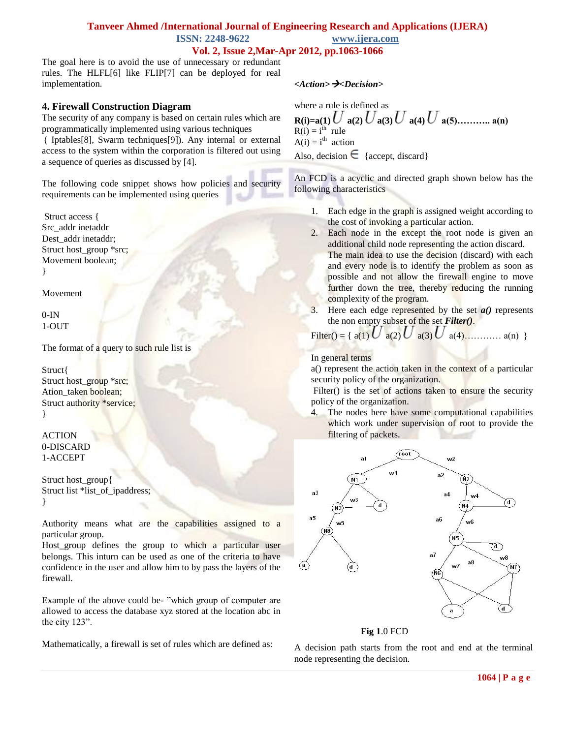# **Tanveer Ahmed /International Journal of Engineering Research and Applications (IJERA) ISSN: 2248-9622 www.ijera.com Vol. 2, Issue 2,Mar-Apr 2012, pp.1063-1066**

The goal here is to avoid the use of unnecessary or redundant rules. The HLFL[6] like FLIP[7] can be deployed for real implementation.

# **4. Firewall Construction Diagram**

The security of any company is based on certain rules which are programmatically implemented using various techniques

( Iptables[8], Swarm techniques[9]). Any internal or external access to the system within the corporation is filtered out using a sequence of queries as discussed by [4].

The following code snippet shows how policies and security requirements can be implemented using queries

Struct access { Src\_addr inetaddr Dest addr inetaddr; Struct host\_group \*src; Movement boolean; }

Movement

 $0-IN$ 1-OUT

The format of a query to such rule list is

Struct{ Struct host\_group \*src; Ation taken boolean; Struct authority \*service; }

ACTION 0-DISCARD 1-ACCEPT

Struct host\_group{ Struct list \*list\_of\_ipaddress; }

Authority means what are the capabilities assigned to a particular group.

Host group defines the group to which a particular user belongs. This inturn can be used as one of the criteria to have confidence in the user and allow him to by pass the layers of the firewall.

Example of the above could be- "which group of computer are allowed to access the database xyz stored at the location abc in the city 123".

Mathematically, a firewall is set of rules which are defined as:

### *<Action><Decision>*

where a rule is defined as **R(i)=a(1)**  $\overline{U}$  a(2)  $\overline{U}$  a(3)  $\overline{U}$  a(4)  $\overline{U}$  a(5)……….. a(n)  $R(i) = i^{th}$  rule  $A(i) = i<sup>th</sup>$  action Also, decision  $\epsilon$  {accept, discard}

An FCD is a acyclic and directed graph shown below has the following characteristics

- 1. Each edge in the graph is assigned weight according to the cost of invoking a particular action.
- 2. Each node in the except the root node is given an additional child node representing the action discard. The main idea to use the decision (discard) with each and every node is to identify the problem as soon as possible and not allow the firewall engine to move further down the tree, thereby reducing the running complexity of the program.
- 3. Here each edge represented by the set *a()* represents the non empty subset of the set *Filter()*.

Filter() = { 
$$
a(1) U a(2) U a(3) U a(4) \dots a(n)
$$
 }

#### In general terms

a() represent the action taken in the context of a particular security policy of the organization.

Filter() is the set of actions taken to ensure the security policy of the organization.

4. The nodes here have some computational capabilities which work under supervision of root to provide the filtering of packets.



# **Fig 1**.0 FCD

A decision path starts from the root and end at the terminal node representing the decision.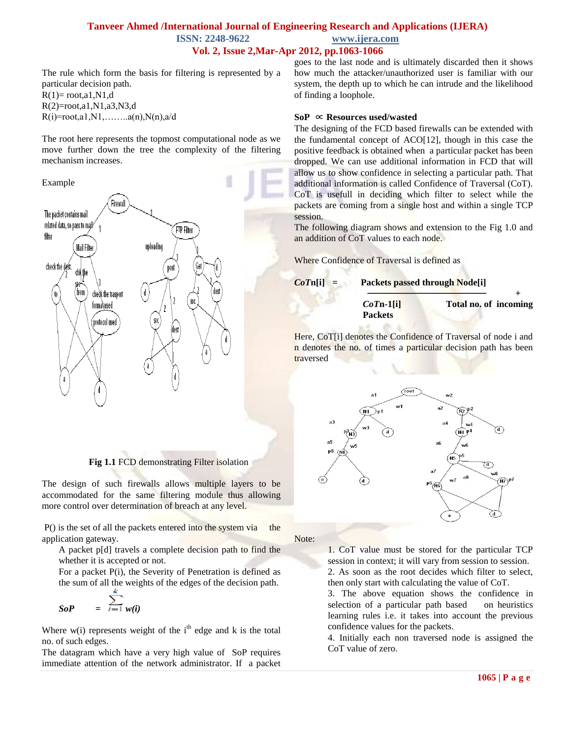### **Tanveer Ahmed /International Journal of Engineering Research and Applications (IJERA) ISSN: 2248-9622 www.ijera.com Vol. 2, Issue 2,Mar-Apr 2012, pp.1063-1066**

The rule which form the basis for filtering is represented by a particular decision path.  $R(1)$ = root,a1,N1,d R(2)=root,a1,N1,a3,N3,d

 $R(i)$ =root,a1,N1,........a(n),N(n),a/d

The root here represents the topmost computational node as we move further down the tree the complexity of the filtering mechanism increases.



**Fig 1.1** FCD demonstrating Filter isolation

The design of such firewalls allows multiple layers to be accommodated for the same filtering module thus allowing more control over determination of breach at any level.

P() is the set of all the packets entered into the system via the application gateway.

A packet p[d] travels a complete decision path to find the whether it is accepted or not.

For a packet P(i), the Severity of Penetration is defined as the sum of all the weights of the edges of the decision path.

$$
SoP = \sum_{i=1}^{n} w(i)
$$

Where  $w(i)$  represents weight of the  $i<sup>th</sup>$  edge and k is the total no. of such edges.

The datagram which have a very high value of SoP requires immediate attention of the network administrator. If a packet

goes to the last node and is ultimately discarded then it shows how much the attacker/unauthorized user is familiar with our system, the depth up to which he can intrude and the likelihood of finding a loophole.

#### **SoP** ∝ **Resources used/wasted**

The designing of the FCD based firewalls can be extended with the fundamental concept of ACO[12], though in this case the positive feedback is obtained when a particular packet has been dropped. We can use additional information in FCD that will allow us to show confidence in selecting a particular path. That additional information is called Confidence of Traversal (CoT). CoT is usefull in deciding which filter to select while the packets are coming from a single host and within a single TCP session.

The following diagram shows and extension to the Fig 1.0 and an addition of CoT values to each node.

Where Confidence of Traversal is defined as



Here, CoT[i] denotes the Confidence of Traversal of node i and n denotes the no. of times a particular decision path has been traversed



Note:

1. CoT value must be stored for the particular TCP session in context; it will vary from session to session. 2. As soon as the root decides which filter to select, then only start with calculating the value of CoT.

3. The above equation shows the confidence in selection of a particular path based on heuristics learning rules i.e. it takes into account the previous confidence values for the packets.

4. Initially each non traversed node is assigned the CoT value of zero.